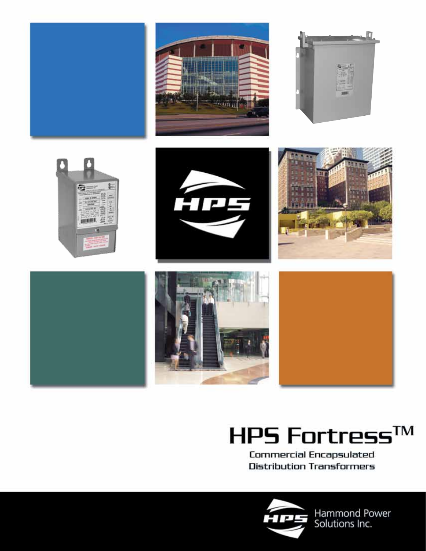

# HPS Fortress™

Commercial Encapsulated **Distribution Transformers** 



Hammond Power<br>Solutions Inc.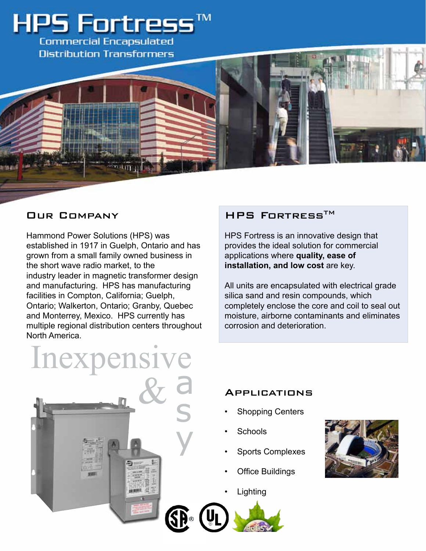

Hammond Power Solutions (HPS) was established in 1917 in Guelph, Ontario and has grown from a small family owned business in the short wave radio market, to the industry leader in magnetic transformer design and manufacturing. HPS has manufacturing facilities in Compton, California; Guelph, Ontario; Walkerton, Ontario; Granby, Quebec and Monterrey, Mexico. HPS currently has multiple regional distribution centers throughout North America.

### OUR COMPANY HPS FORTRESS<sup>TM</sup>

HPS Fortress is an innovative design that provides the ideal solution for commercial applications where **quality, ease of installation, and low cost** are key.

All units are encapsulated with electrical grade silica sand and resin compounds, which completely enclose the core and coil to seal out moisture, airborne contaminants and eliminates corrosion and deterioration.



#### **APPLICATIONS**

- **Shopping Centers**
- **Schools**
- **Sports Complexes**
- **Office Buildings**
- **Lighting**



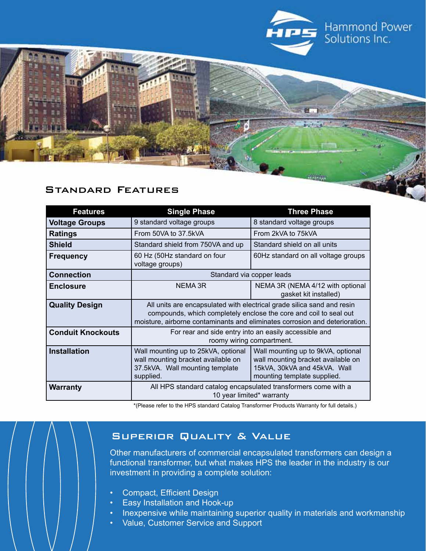

#### Standard Features

| <b>Features</b>          | <b>Single Phase</b>                                                                                                                                                                                                        | <b>Three Phase</b>                                                                                                                      |  |
|--------------------------|----------------------------------------------------------------------------------------------------------------------------------------------------------------------------------------------------------------------------|-----------------------------------------------------------------------------------------------------------------------------------------|--|
| <b>Voltage Groups</b>    | 9 standard voltage groups                                                                                                                                                                                                  | 8 standard voltage groups                                                                                                               |  |
| <b>Ratings</b>           | From 50VA to 37.5kVA                                                                                                                                                                                                       | From 2kVA to 75kVA                                                                                                                      |  |
| <b>Shield</b>            | Standard shield from 750VA and up                                                                                                                                                                                          | Standard shield on all units                                                                                                            |  |
| <b>Frequency</b>         | 60 Hz (50Hz standard on four<br>voltage groups)                                                                                                                                                                            | 60Hz standard on all voltage groups                                                                                                     |  |
| <b>Connection</b>        |                                                                                                                                                                                                                            | Standard via copper leads                                                                                                               |  |
| <b>Enclosure</b>         | <b>NEMA 3R</b>                                                                                                                                                                                                             | NEMA 3R (NEMA 4/12 with optional<br>gasket kit installed)                                                                               |  |
| <b>Quality Design</b>    | All units are encapsulated with electrical grade silica sand and resin<br>compounds, which completely enclose the core and coil to seal out<br>moisture, airborne contaminants and eliminates corrosion and deterioration. |                                                                                                                                         |  |
| <b>Conduit Knockouts</b> | For rear and side entry into an easily accessible and<br>roomy wiring compartment.                                                                                                                                         |                                                                                                                                         |  |
| <b>Installation</b>      | Wall mounting up to 25kVA, optional<br>wall mounting bracket available on<br>37.5kVA. Wall mounting template<br>supplied.                                                                                                  | Wall mounting up to 9kVA, optional<br>wall mounting bracket available on<br>15kVA, 30kVA and 45kVA. Wall<br>mounting template supplied. |  |
| <b>Warranty</b>          | All HPS standard catalog encapsulated transformers come with a<br>10 year limited* warranty                                                                                                                                |                                                                                                                                         |  |

\*(Please refer to the HPS standard Catalog Transformer Products Warranty for full details.)

#### Superior Quality & Value

Other manufacturers of commercial encapsulated transformers can design a functional transformer, but what makes HPS the leader in the industry is our investment in providing a complete solution:

- • Compact, Efficient Design
- Easy Installation and Hook-up
- Inexpensive while maintaining superior quality in materials and workmanship
- • Value, Customer Service and Support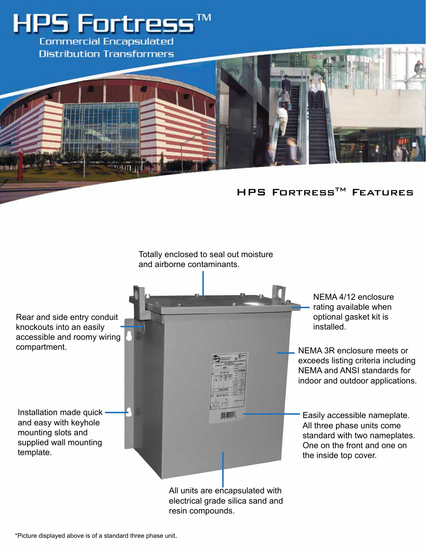



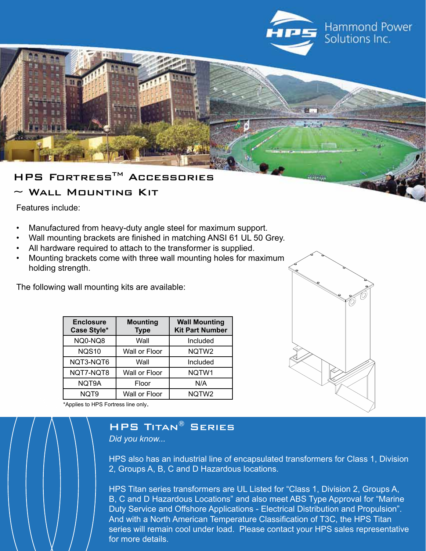

## HPS FORTRESS™ ACCESSORIES

#### WALL MOUNTING KIT

Features include:

- Manufactured from heavy-duty angle steel for maximum support.
- Wall mounting brackets are finished in matching ANSI 61 UL 50 Grey.
- All hardware required to attach to the transformer is supplied.
- Mounting brackets come with three wall mounting holes for maximum holding strength.

The following wall mounting kits are available:

| <b>Enclosure</b><br>Case Style* | <b>Mounting</b><br><b>Type</b> | <b>Wall Mounting</b><br><b>Kit Part Number</b> |
|---------------------------------|--------------------------------|------------------------------------------------|
| NQ0-NQ8                         | Wall                           | Included                                       |
| <b>NQS10</b>                    | Wall or Floor                  | NQTW2                                          |
| NQT3-NQT6                       | Wall                           | Included                                       |
| NQT7-NQT8                       | Wall or Floor                  | NQTW1                                          |
| NQT9A                           | Floor                          | N/A                                            |
| NQT9                            | Wall or Floor                  | NQTW <sub>2</sub>                              |

\*Applies to HPS Fortress line only.

### HPS Titan® Series

*Did you know...*

HPS also has an industrial line of encapsulated transformers for Class 1, Division 2, Groups A, B, C and D Hazardous locations.

HPS Titan series transformers are UL Listed for "Class 1, Division 2, Groups A, B, C and D Hazardous Locations" and also meet ABS Type Approval for "Marine Duty Service and Offshore Applications - Electrical Distribution and Propulsion". And with a North American Temperature Classification of T3C, the HPS Titan series will remain cool under load. Please contact your HPS sales representative for more details.

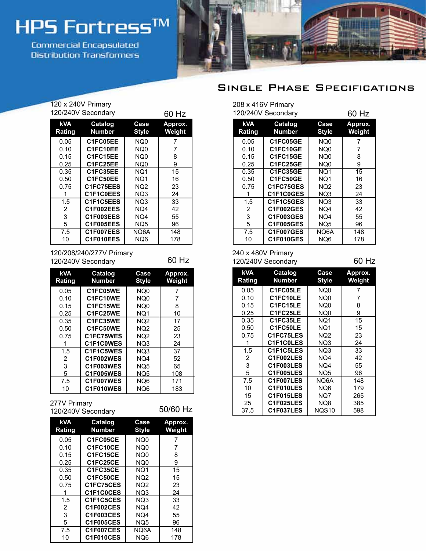# HPS Fortress™

Commercial Encapsulated **Distribution Transformers** 



#### Single Phase Specifications

| 120 x 240V Primary<br>120/240V Secondary<br>60 Hz |                          |                      |                   |  |
|---------------------------------------------------|--------------------------|----------------------|-------------------|--|
| <b>kVA</b><br>Rating                              | <b>Catalog</b><br>Number | Case<br><b>Style</b> | Approx.<br>Weight |  |
| 0.05                                              | C1FC05EE                 | NQ0                  | 7                 |  |
| 0.10                                              | C1FC10EE                 | NQ0                  | 7                 |  |
| 0.15                                              | C1FC15EE                 | NQ0                  | 8                 |  |
| 0.25                                              | C1FC25EE                 | NQ0                  | 9                 |  |
| 0.35                                              | C1FC35EE                 | NQ1                  | 15                |  |
| 0.50                                              | C1FC50EE                 | NQ1                  | 16                |  |
| 0.75                                              | C1FC75EES                | NQ2                  | 23                |  |
| 1                                                 | C1F1C0EES                | NQ3                  | 24                |  |
| 1.5                                               | C1F1C5EES                | NQ3                  | 33                |  |
| 2                                                 | C1F002EES                | NQ4                  | 42                |  |
| 3                                                 | C1F003EES                | NQ4                  | 55                |  |
| 5                                                 | C1F005EES                | NQ5                  | 96                |  |
| 7.5                                               | C1F007EES                | NQ6A                 | 148               |  |
| 10                                                | C1F010EES                | NQ6                  | 178               |  |

120/208/240/277V Primary 120/240V Secondary 60 Hz

| <b>kVA</b><br>Rating | Catalog<br><b>Number</b> | Case<br><b>Style</b> | Approx.<br>Weight |
|----------------------|--------------------------|----------------------|-------------------|
| 0.05                 | C1FC05WE                 | NQ <sub>0</sub>      | 7                 |
| 0.10                 | C1FC10WE                 | NQ0                  | 7                 |
| 0.15                 | C1FC15WE                 | NQ0                  | 8                 |
| 0.25                 | C1FC25WE                 | NQ1                  | 10                |
| 0.35                 | C1FC35WE                 | NQ <sub>2</sub>      | 17                |
| 0.50                 | C1FC50WE                 | NQ <sub>2</sub>      | 25                |
| 0.75                 | C1FC75WES                | NQ <sub>2</sub>      | 23                |
|                      | C1F1C0WES                | NQ3                  | 24                |
| 1.5                  | C1F1C5WES                | NQ3                  | 37                |
| 2                    | C1F002WES                | NQ4                  | 52                |
| 3                    | C1F003WES                | NQ <sub>5</sub>      | 65                |
| 5                    | C1F005WES                | NQ <sub>5</sub>      | 108               |
| 7.5                  | C1F007WES                | NQ6                  | 171               |
| 10                   | C1F010WES                | NQ6                  | 183               |

#### 277V Primary

120/240V Secondary 50/60 Hz

| <b>kVA</b><br>Rating | Catalog<br><b>Number</b> | Case<br><b>Style</b> | Approx.<br>Weight |  |
|----------------------|--------------------------|----------------------|-------------------|--|
| 0.05                 | C1FC05CE                 | NQ0                  | 7                 |  |
| 0.10                 | C1FC10CE                 | NQ0                  |                   |  |
| 0.15                 | C1FC15CE                 | NQ0                  | 8                 |  |
| 0.25                 | C1FC25CE                 | NQ0                  | 9                 |  |
| 0.35                 | C1FC35CE                 | NQ1                  | 15                |  |
| 0.50                 | C1FC50CE                 | NQ <sub>2</sub>      | 15                |  |
| 0.75                 | C1FC75CES                | NQ <sub>2</sub>      | 23                |  |
|                      | C1F1C0CES                | NQ3                  | 24                |  |
| 1.5                  | C1F1C5CES                | NQ3                  | 33                |  |
| 2                    | C1F002CES                | NQ4                  | 42                |  |
| 3                    | C1F003CES                | NQ4                  | 55                |  |
| 5                    | <b>C1F005CES</b>         | NQ <sub>5</sub>      | 96                |  |
| 7.5                  | C1F007CES                | NQ6A                 | 148               |  |
| 10                   | C1F010CES                | NQ6                  | 178               |  |

| 208 x 416V Primary<br>120/240V Secondary | 60 Hz                    |                      |                   |
|------------------------------------------|--------------------------|----------------------|-------------------|
| kVA<br>Rating                            | Catalog<br><b>Number</b> | Case<br><b>Style</b> | Approx.<br>Weight |
| 0.05                                     | C1FC05GE                 | NQ0                  | 7                 |
| 0.10                                     | C1FC10GE                 | NQ0                  | 7                 |
| 0.15                                     | C1FC15GE                 | NQ0                  | 8                 |
| 0.25                                     | C1FC25GE                 | NQ0                  | 9                 |
| 0.35                                     | C1FC35GE                 | NQ1                  | 15                |
| 0.50                                     | C1FC50GE                 | NQ1                  | 16                |
| 0.75                                     | C1FC75GES                | NQ2                  | 23                |
|                                          | C1F1C0GES                | NQ3                  | 24                |
| 1.5                                      | C1F1C5GES                | NQ3                  | 33                |
| 2                                        | C1F002GES                | NQ4                  | 42                |
| 3                                        | C1F003GES                | NQ4                  | 55                |
| 5                                        | <b>C1F005GES</b>         | NQ5                  | 96                |
| 7.5                                      | C1F007GES                | NQ6A                 | 148               |
| 10                                       | C1F010GES                | NQ6                  | 178               |

#### 240 x 480V Primary 120/240V Secondary 60 Hz

| <b>kVA</b><br>Rating | Catalog<br>Number | Case<br><b>Style</b> | Approx.<br>Weight |
|----------------------|-------------------|----------------------|-------------------|
| 0.05                 | C1FC05LE          | NQ0                  | 7                 |
| 0.10                 | C1FC10LE          | NQ0                  | 7                 |
| 0.15                 | C1FC15LE          | NQ0                  | 8                 |
| 0.25                 | C1FC25LE          | NQ0                  | 9                 |
| 0.35                 | C1FC35LE          | NQ1                  | 15                |
| 0.50                 | C1FC50LE          | NQ1                  | 15                |
| 0.75                 | C1FC75LES         | NQ <sub>2</sub>      | 23                |
| 1                    | C1F1C0LES         | NQ3                  | 24                |
| 1.5                  | C1F1C5LES         | NQ3                  | 33                |
| 2                    | C1F002LES         | NQ4                  | 42                |
| 3                    | C1F003LES         | NQ4                  | 55                |
| 5                    | C1F005LES         | NQ <sub>5</sub>      | 96                |
| 7.5                  | C1F007LES         | NQ6A                 | 148               |
| 10                   | <b>C1F010LES</b>  | NQ6                  | 179               |
| 15                   | C1F015LES         | NQ7                  | 265               |
| 25                   | C1F025LES         | NQ8                  | 385               |
| 37.5                 | C1F037LES         | NQS10                | 598               |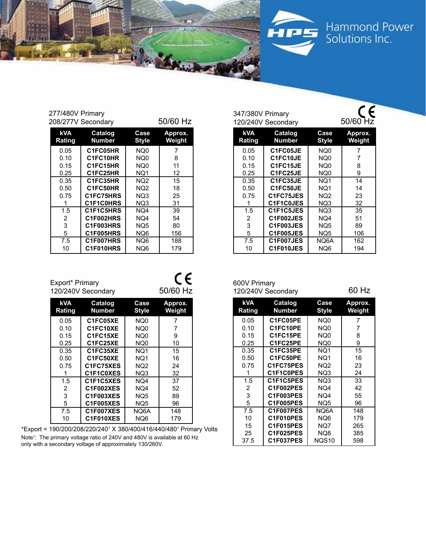

#### 277/480V Primary  $208/277V$  Secondary 50/60 Hz

| zuo/z//v Secondary   |                   |                      | או רטטישט         |
|----------------------|-------------------|----------------------|-------------------|
| <b>kVA</b><br>Rating | Catalog<br>Number | Case<br><b>Style</b> | Approx.<br>Weight |
| 0.05                 | C1FC05HR          | NQ0                  | 7                 |
| 0.10                 | C1FC10HR          | NQ0                  | 8                 |
| 0.15                 | C1FC15HR          | NQ0                  | 11                |
| 0.25                 | C1FC25HR          | NQ1                  | 12                |
| 0.35                 | C1FC35HR          | NQ <sub>2</sub>      | 15                |
| 0.50                 | C1FC50HR          | NQ <sub>2</sub>      | 18                |
| 0.75                 | C1FC75HRS         | NQ3                  | 25                |
|                      | C1F1C0HRS         | NQ3                  | 31                |
| 1.5                  | C1F1C5HRS         | NQ4                  | 39                |
| 2                    | C1F002HRS         | NQ4                  | 54                |
| 3                    | C1F003HRS         | NQ <sub>5</sub>      | 80                |
| 5                    | C1F005HRS         | NQ <sub>6</sub>      | 156               |
| 7.5                  | C1F007HRS         | NQ <sub>6</sub>      | 188               |
| 10                   | C1F010HRS         | NQ <sub>6</sub>      | 179               |

| <b>kVA</b><br><b>Rating</b> | <b>Catalog</b><br><b>Number</b> | Case<br><b>Style</b> | Approx.<br><b>Weight</b> |
|-----------------------------|---------------------------------|----------------------|--------------------------|
| 0.05                        | C1FC05JE                        | NQ <sub>0</sub>      |                          |
| 0.10                        | C1FC10JE                        | NQ0                  | 7                        |
| 0.15                        | C1FC15JE                        | NQ0                  | 8                        |
| 0.25                        | C1FC25JE                        | NQ <sub>0</sub>      | 9                        |
| 0.35                        | C1FC35JE                        | NQ1                  | 14                       |
| 0.50                        | C1FC50JE                        | NQ1                  | 14                       |
| 0.75                        | C1FC75JES                       | NQ <sub>2</sub>      | 23                       |
|                             | C1F1C0JES                       | NQ3                  | 32                       |
| 1.5                         | C1F1C5JES                       | NQ3                  | 35                       |
| $\overline{2}$              | C1F002JES                       | NQ4                  | 51                       |
| 3                           | C1F003JES                       | NQ5                  | 89                       |
| 5                           | C1F005JES                       | NQ5                  | 106                      |
| 7.5                         | C1F007JES                       | NQ6A                 | 162                      |

347/380V Primary<br>120/240V Secondary 50/60 Hz

|   | 5            | <b>C1F005JES</b>   | NQ5             | 106   |
|---|--------------|--------------------|-----------------|-------|
|   | 7.5          | C1F007JES          | NQ6A            | 162   |
|   | 10           | C1F010JES          | NQ <sub>6</sub> | 194   |
|   |              |                    |                 |       |
|   |              |                    |                 |       |
| ⊾ |              |                    |                 |       |
| z | 600V Primary | 120/240V Secondary |                 | 60 Hz |
|   |              |                    |                 |       |

347/380V Primary

| <b>kVA</b><br>Rating | Catalog<br><b>Number</b> | Case<br><b>Style</b> | Approx.<br>Weight |
|----------------------|--------------------------|----------------------|-------------------|
| 0.05                 | C1FC05PE                 | NQ0                  | 7                 |
| 0.10                 | C1FC10PE                 | NQ0                  | 7                 |
| 0.15                 | C1FC15PE                 | NQ0                  | 8                 |
| 0.25                 | C1FC25PE                 | NQ0                  | 9                 |
| 0.35                 | C1FC35PE                 | NQ1                  | 15                |
| 0.50                 | C1FC50PE                 | NQ1                  | 16                |
| 0.75                 | C1FC75PES                | NQ <sub>2</sub>      | 23                |
| 1                    | C1F1C0PES                | NQ3                  | 24                |
| 1.5                  | C1F1C5PES                | NQ3                  | 33                |
| 2                    | C1F002PES                | NQ4                  | 42                |
| 3                    | C1F003PES                | NQ4                  | 55                |
| 5                    | C1F005PES                | NQ <sub>5</sub>      | 96                |
| 7.5                  | C1F007PES                | NQ6A                 | 148               |
| 10                   | C1F010PES                | NQ6                  | 179               |
| 15                   | C1F015PES                | NQ7                  | 265               |
| 25                   | C1F025PES                | NQ8                  | 385               |
| 37.5                 | C1F037PES                | NOS <sub>10</sub>    | 598               |

| <b>kVA</b><br>Rating | Catalog<br><b>Number</b> | Case<br><b>Style</b> | Approx.<br>Weight |
|----------------------|--------------------------|----------------------|-------------------|
| 0.05                 | C1FC05XE                 | NQ0                  |                   |
| 0.10                 | C1FC10XE                 | NQ0                  |                   |
| 0.15                 | C1FC15XE                 | NQ0                  | 9                 |
| 0.25                 | C1FC25XE                 | NQ0                  | 10                |
| 0.35                 | C1FC35XE                 | NQ1                  | 15                |
| 0.50                 | C1FC50XE                 | NQ1                  | 16                |
| 0.75                 | C1FC75XES                | NQ <sub>2</sub>      | 24                |
|                      | C1F1C0XES                | NQ3                  | 32                |
| 1.5                  | C1F1C5XES                | NQ4                  | 37                |

**C1F002XES C1F003XES C1F005XES C1F007XES C1F010XES**

Export\* Primary

\*Export = 190/200/208/220/2401 X 380/400/416/440/4801 Primary Volts Note<sup>1</sup>: The primary voltage ratio of 240V and 480V is available at 60 Hz only with a secondary voltage of approximately 130/260V.

NQ4 NQ5 NQ5 NQ6A NQ6

### $C$ 120/240V Secondary 50/60 Hz

**FBCD** 

**ANTAL**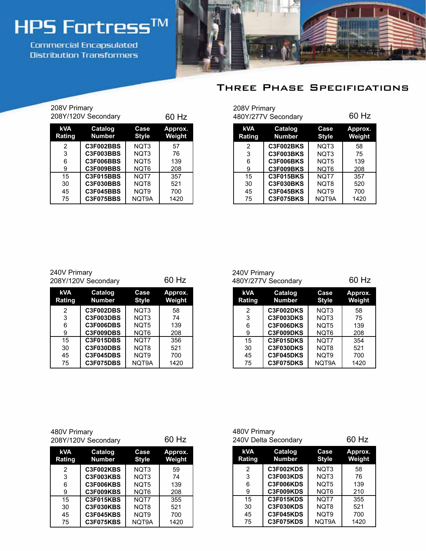# **HPS Fortress™**

Commercial Encapsulated **Oistribution Transformers** 



#### Three Phase Specifications

| 208V Primary<br>208Y/120V Secondary |                          | 60 Hz                |                          |
|-------------------------------------|--------------------------|----------------------|--------------------------|
| <b>kVA</b><br>Rating                | Catalog<br><b>Number</b> | Case<br><b>Style</b> | Approx.<br><b>Weight</b> |
| 2                                   | C3F002BBS                | NQT3                 | 57                       |
| 3                                   | C3F003BBS                | NOT3                 | 76                       |
| 6                                   | C3F006BBS                | NOT5                 | 139                      |
| 9                                   | C3F009BBS                | NOT6                 | 208                      |
| 15                                  | C3F015BBS                | NOT7                 | 357                      |
| 30                                  | <b>C3F030BBS</b>         | NOT8                 | 521                      |
| 45                                  | <b>C3F045BBS</b>         | NOT9                 | 700                      |
| 75                                  | C3F075BBS                | NQT9A                | 1420                     |

| 208V Primary<br>60 Hz<br>480Y/277V Secondary |                          |                      |                          |  |  |  |  |
|----------------------------------------------|--------------------------|----------------------|--------------------------|--|--|--|--|
| <b>kVA</b><br><b>Rating</b>                  | Catalog<br><b>Number</b> | Case<br><b>Style</b> | Approx.<br><b>Weight</b> |  |  |  |  |
| 2                                            | C3F002BKS                | NQT3                 | 58                       |  |  |  |  |
| 3                                            | C3F003BKS                | NOT3                 | 75                       |  |  |  |  |
| 6                                            | C3F006BKS                | NOT5                 | 139                      |  |  |  |  |
| 9                                            | C3F009BKS                | NOT6                 | 208                      |  |  |  |  |
| 15                                           | C3F015BKS                | NOT7                 | 357                      |  |  |  |  |
| 30                                           | C3F030BKS                | NOT8                 | 520                      |  |  |  |  |
| 45                                           | C3F045BKS                | NOT9                 | 700                      |  |  |  |  |
| 75                                           | C3F075BKS                | NQT9A                | 1420                     |  |  |  |  |

| 240V Primary | 208Y/120V Secondary |              | 60 Hz   |
|--------------|---------------------|--------------|---------|
| <b>kVA</b>   | Catalog             | Case         | Approx. |
| Rating       | <b>Number</b>       | <b>Style</b> | Weight  |
| 2            | C3F002DBS           | NQT3         | 58      |
| 3            | <b>C3F003DBS</b>    | NQT3         | 74      |

NQT5 NQT6 NQT7 NQT8 NQT9 NQT9A

**C3F006DBS C3F009DBS C3F015DBS C3F030DBS C3F045DBS C3F075DBS**

#### 240V Primary 480Y/277V Secondary 60 Hz

| <b>kVA</b><br><b>Rating</b> | Catalog<br><b>Number</b> | Case<br><b>Style</b> | Approx.<br>Weight |
|-----------------------------|--------------------------|----------------------|-------------------|
| 2                           | C3F002DKS                | NOT <sub>3</sub>     | 58                |
| 3                           | C3F003DKS                | NOT <sub>3</sub>     | 75                |
| 6                           | C3F006DKS                | NOT5                 | 139               |
| 9                           | C3F009DKS                | NQT6                 | 208               |
| 15                          | C3F015DKS                | NOT7                 | 354               |
| 30                          | C3F030DKS                | NQT8                 | 521               |
| 45                          | C3F045DKS                | NOT <sub>9</sub>     | 700               |
| 75                          | C3F075DKS                | NQT9A                | 1420              |

| 480V Primary        |       |
|---------------------|-------|
| 208Y/120V Secondary | 60 Hz |

| <b>kVA</b><br>Rating | Catalog<br><b>Number</b> | Case<br><b>Style</b> | Approx.<br>Weight |
|----------------------|--------------------------|----------------------|-------------------|
| 2                    | C3F002KBS                | NOT <sub>3</sub>     | 59                |
| 3                    | C3F003KBS                | NQT3                 | 74                |
| 6                    | C3F006KBS                | NQT5                 | 139               |
| 9                    | C3F009KBS                | NQT6                 | 208               |
| 15                   | <b>C3F015KBS</b>         | NOT7                 | 355               |
| 30                   | C3F030KBS                | NQT8                 | 521               |
| 45                   | C3F045KBS                | NQT9                 | 700               |
| 75                   | C3F075KBS                | NQT9A                | 1420              |

| 480V Primary         | 240V Delta Secondary     |                      | 60 Hz                    |
|----------------------|--------------------------|----------------------|--------------------------|
| <b>kVA</b><br>Rating | Catalog<br><b>Number</b> | Case<br><b>Style</b> | Approx.<br><b>Weight</b> |
| 2                    | C3F002KDS                | NOT <sub>3</sub>     | 58                       |
| 3                    | C3F003KDS                | NOT3                 | 76                       |
| 6                    | C3F006KDS                | NOT5                 | 139                      |
| 9                    | C3F009KDS                | NOT6                 | 210                      |
| 15                   | C3F015KDS                | NOT7                 | 355                      |
| 30                   | C3F030KDS                | NOT <sub>8</sub>     | 521                      |
| 45                   | C3F045KDS                | NQT9                 | 700                      |
| 75                   | C3F075KDS                | NQT9A                | 1420                     |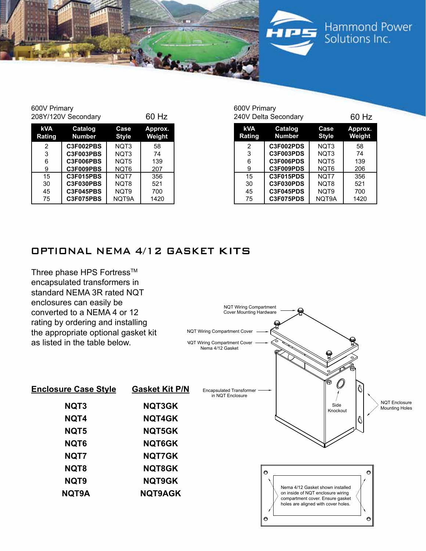



Hammond Power Solutions Inc.

600V Primary 208Y/120V Secondary 60 Hz

| kVA<br><b>Rating</b> | Catalog<br><b>Number</b> | Case<br>Style    | Approx.<br>Weight |
|----------------------|--------------------------|------------------|-------------------|
| 2                    | C3F002PBS                | NOT <sub>3</sub> | 58                |
| 3                    | C3F003PBS                | NOT <sub>3</sub> | 74                |
| 6                    | C3F006PBS                | NOT5             | 139               |
| 9                    | C3F009PBS                | NQT6             | 207               |
| 15                   | <b>C3F015PBS</b>         | NQT7             | 356               |
| 30                   | C3F030PBS                | NQT8             | 521               |
| 45                   | <b>C3F045PBS</b>         | NQT9             | 700               |
| 75                   | C3F075PBS                | NQT9A            | 1420              |

| 600V Primary                | 240V Delta Secondary     |                      | 60 Hz                    |
|-----------------------------|--------------------------|----------------------|--------------------------|
| <b>kVA</b><br><b>Rating</b> | Catalog<br><b>Number</b> | Case<br><b>Style</b> | Approx.<br><b>Weight</b> |
| 2                           | C3F002PDS                | NOT <sub>3</sub>     | 58                       |
| 3                           | C3F003PDS                | NOT3                 | 74                       |
| 6                           | C3F006PDS                | NOT5                 | 139                      |
| 9                           | C3F009PDS                | NQT6                 | 206                      |
| 15                          | C3F015PDS                | NQT7                 | 356                      |
| 30                          | C3F030PDS                | NOT8                 | 521                      |
| 45                          | C3F045PDS                | NOT <sub>9</sub>     | 700                      |
| 75                          | C3F075PDS                | NQT9A                | 1420                     |

#### Optional NEMA 4/12 gasket Kits

Three phase HPS Fortress™ encapsulated transformers in standard NEMA 3R rated NQT enclosures can easily b converted to a NEI rating by ordering the appropriate op as listed in the table

| enclosures can easily be<br>converted to a NEMA 4 or 12                                                   |                       | <b>NQT Wiring Compartment</b><br><b>Cover Mounting Hardware</b>     |                                                                                                                                                            |
|-----------------------------------------------------------------------------------------------------------|-----------------------|---------------------------------------------------------------------|------------------------------------------------------------------------------------------------------------------------------------------------------------|
| rating by ordering and installing<br>the appropriate optional gasket kit<br>as listed in the table below. |                       | <b>NQT Wiring Compartment Cover</b><br>NQT Wiring Compartment Cover |                                                                                                                                                            |
|                                                                                                           |                       | Nema 4/12 Gasket                                                    |                                                                                                                                                            |
| <b>Enclosure Case Style</b>                                                                               | <b>Gasket Kit P/N</b> | <b>Encapsulated Transformer</b><br>in NQT Enclosure                 |                                                                                                                                                            |
| NQT3                                                                                                      | NQT3GK                |                                                                     | <b>NQT Enclosure</b><br>Side<br><b>Mounting Holes</b><br>Knockout                                                                                          |
| NQT4                                                                                                      | <b>NQT4GK</b>         |                                                                     |                                                                                                                                                            |
| NQT5                                                                                                      | NQT5GK                |                                                                     |                                                                                                                                                            |
| NQT6                                                                                                      | <b>NQT6GK</b>         |                                                                     |                                                                                                                                                            |
| NQT7                                                                                                      | NQT7GK                |                                                                     |                                                                                                                                                            |
| NQT8                                                                                                      | <b>NQT8GK</b>         |                                                                     | 0<br>O                                                                                                                                                     |
| NQT9                                                                                                      | <b>NQT9GK</b>         |                                                                     |                                                                                                                                                            |
| NQT9A                                                                                                     | <b>NQT9AGK</b>        |                                                                     | Nema 4/12 Gasket shown installed<br>on inside of NQT enclosure wiring<br>compartment cover. Ensure gasket<br>holes are aligned with cover holes.<br>O<br>O |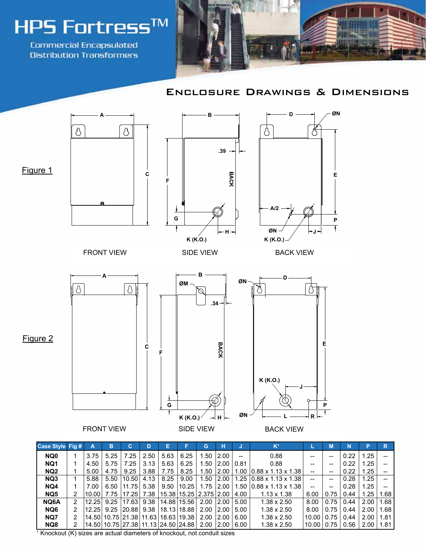

**Commercial Encapsulated Oistribution Transformers** 



#### Enclosure Drawings & Dimensions



**NQ8** 2 14.50 10.75 27.38 11.13 24.50 24.88 2.00 2.00 6.00 1.38 x 2.50 10.00 0.75 0.56 2.00 1.81

<sup>1</sup> Knockout (K) sizes are actual diameters of knockout, not conduit sizes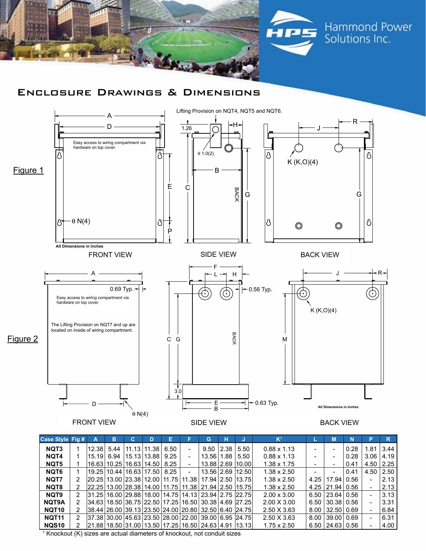

#### Enclosure Drawings & Dimensions



| Case Style Fig #  |   | А     | в                              | C. | D             | Е                             |                          | G                                                                    | н |                      | K <sup>1</sup>     |      | M            | N    | P                        | R    |
|-------------------|---|-------|--------------------------------|----|---------------|-------------------------------|--------------------------|----------------------------------------------------------------------|---|----------------------|--------------------|------|--------------|------|--------------------------|------|
| NQT <sub>3</sub>  |   | 12.38 | 5.44                           |    | 11.13   11.38 | 6.50                          |                          |                                                                      |   | $9.50$   2.38   5.50 | $0.88 \times 1.13$ |      |              | 0.28 | 1.81                     | 3.44 |
| NQT4              |   |       | 15.19  6.94  15.13 13.88  9.25 |    |               |                               |                          | 13.56   1.88   5.50                                                  |   |                      | $0.88 \times 1.13$ |      |              | 0.28 | 3.06                     | 4.19 |
| NQT5              |   |       | 16.63 10.25 16.63 14.50  8.25  |    |               |                               |                          | 13.88 2.69 10.00                                                     |   |                      | $1.38 \times 1.75$ |      |              | 0.41 | 4.50                     | 2.25 |
| NQT6              |   |       |                                |    |               | 19.25 10.44 16.63 17.50  8.25 | $\overline{\phantom{a}}$ | 13.56 2.69 12.50                                                     |   |                      | $1.38 \times 2.50$ |      |              | 0.41 | 4.50                     | 2.50 |
| NQT7              |   |       |                                |    |               |                               |                          | 20.25   13.00   23.38   12.00   11.75   11.38   17.94   2.50   13.75 |   |                      | $1.38 \times 2.50$ | 4.25 | 17.94 0.56   |      | ۳                        | 2.13 |
| NQT8              |   |       |                                |    |               |                               |                          | 22.25 13.00 28.38 14.00 11.75 11.38 21.94 2.50 15.75                 |   |                      | $1.38 \times 2.50$ | 4.25 | 21.94   0.56 |      |                          | 2.13 |
| NQT9              | 2 |       |                                |    |               |                               |                          | 31.25   16.00   29.88   18.00   14.75   14.13   23.94   2.75   22.75 |   |                      | $2.00 \times 3.00$ | 6.50 | 23.64 0.56   |      |                          | 3.13 |
| <b>NQT9A</b>      |   |       |                                |    |               |                               |                          | 34.63   18.50   36.75   22.50   17.25   16.50   30.38   4.69   27.25 |   |                      | $2.00 \times 3.00$ | 6.50 | 30.38 0.56   |      |                          | 3.31 |
| NQT <sub>10</sub> |   |       |                                |    |               |                               |                          | 38.44   26.00   39.13   23.50   24.00   20.80   32.50   6.40   24.75 |   |                      | $2.50 \times 3.63$ | 8.00 | 32.50   0.69 |      | -                        | 6.84 |
| NQT11             | 2 |       |                                |    |               |                               |                          | $ 37.38 30.00 45.63 23.50 28.00 22.00 39.00 6.95 24.75 $             |   |                      | $2.50 \times 3.63$ | 8.00 | 39.00   0.69 |      | $\overline{\phantom{0}}$ | 6.31 |
| <b>NQS10</b>      |   |       |                                |    |               |                               |                          | $ 21.88 18.50 31.00 13.50 17.25 16.50 24.63 4.91 13.13 $             |   |                      | $1.75 \times 2.50$ | 6.50 | 24.63   0.56 |      |                          | 4.00 |

<sup>1</sup> Knockout (K) sizes are actual diameters of knockout, not conduit sizes